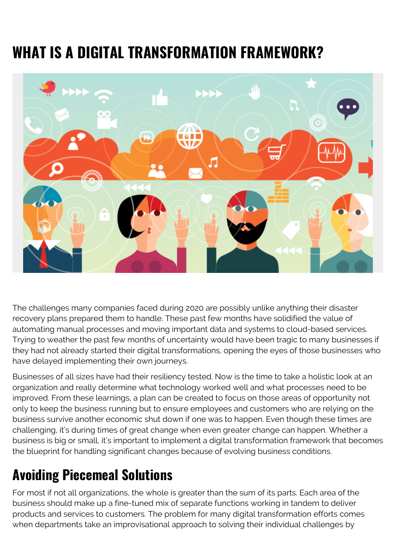# **WHAT IS A DIGITAL TRANSFORMATION FRAMEWORK?**



The challenges many companies faced during 2020 are possibly unlike anything their disaster recovery plans prepared them to handle. These past few months have solidified the value of automating manual processes and moving important data and systems to cloud-based services. Trying to weather the past few months of uncertainty would have been tragic to many businesses if they had not already started their digital transformations, opening the eyes of those businesses who have delayed implementing their own journeys.

Businesses of all sizes have had their resiliency tested. Now is the time to take a holistic look at an organization and really determine what technology worked well and what processes need to be improved. From these learnings, a plan can be created to focus on those areas of opportunity not only to keep the business running but to ensure employees and customers who are relying on the business survive another economic shut down if one was to happen. Even though these times are challenging, it's during times of great change when even greater change can happen. Whether a business is big or small, it's important to implement a digital transformation framework that becomes the blueprint for handling significant changes because of evolving business conditions.

## **Avoiding Piecemeal Solutions**

For most if not all organizations, the whole is greater than the sum of its parts. Each area of the business should make up a fine-tuned mix of separate functions working in tandem to deliver products and services to customers. The problem for many digital transformation efforts comes when departments take an improvisational approach to solving their individual challenges by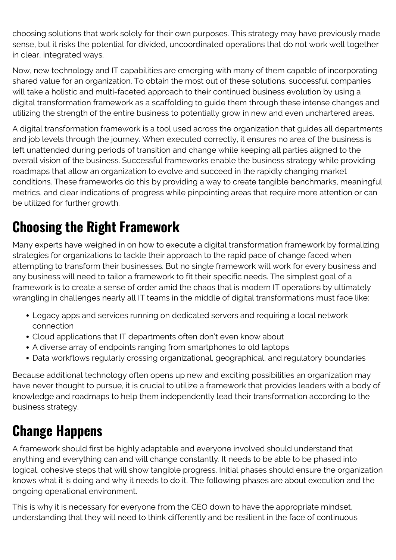choosing solutions that work solely for their own purposes. This strategy may have previously made sense, but it risks the potential for divided, uncoordinated operations that do not work well together in clear, integrated ways.

Now, new technology and IT capabilities are emerging with many of them capable of incorporating shared value for an organization. To obtain the most out of these solutions, successful companies will take a holistic and multi-faceted approach to their continued business evolution by using a digital transformation framework as a scaffolding to guide them through these intense changes and utilizing the strength of the entire business to potentially grow in new and even unchartered areas.

A digital transformation framework is a tool used across the organization that guides all departments and job levels through the journey. When executed correctly, it ensures no area of the business is left unattended during periods of transition and change while keeping all parties aligned to the overall vision of the business. Successful frameworks enable the business strategy while providing roadmaps that allow an organization to evolve and succeed in the rapidly changing market conditions. These frameworks do this by providing a way to create tangible benchmarks, meaningful metrics, and clear indications of progress while pinpointing areas that require more attention or can be utilized for further growth.

#### **Choosing the Right Framework**

Many experts have weighed in on how to execute a digital transformation framework by formalizing strategies for organizations to tackle their approach to the rapid pace of change faced when attempting to transform their businesses. But no single framework will work for every business and any business will need to tailor a framework to fit their specific needs. The simplest goal of a framework is to create a sense of order amid the chaos that is modern IT operations by ultimately wrangling in challenges nearly all IT teams in the middle of digital transformations must face like:

- Legacy apps and services running on dedicated servers and requiring a local network connection
- Cloud applications that IT departments often don't even know about
- A diverse array of endpoints ranging from smartphones to old laptops
- Data workflows regularly crossing organizational, geographical, and regulatory boundaries

Because additional technology often opens up new and exciting possibilities an organization may have never thought to pursue, it is crucial to utilize a framework that provides leaders with a body of knowledge and roadmaps to help them independently lead their transformation according to the business strategy.

## **Change Happens**

A framework should first be highly adaptable and everyone involved should understand that anything and everything can and will change constantly. It needs to be able to be phased into logical, cohesive steps that will show tangible progress. Initial phases should ensure the organization knows what it is doing and why it needs to do it. The following phases are about execution and the ongoing operational environment.

This is why it is necessary for everyone from the CEO down to have the appropriate mindset, understanding that they will need to think differently and be resilient in the face of continuous